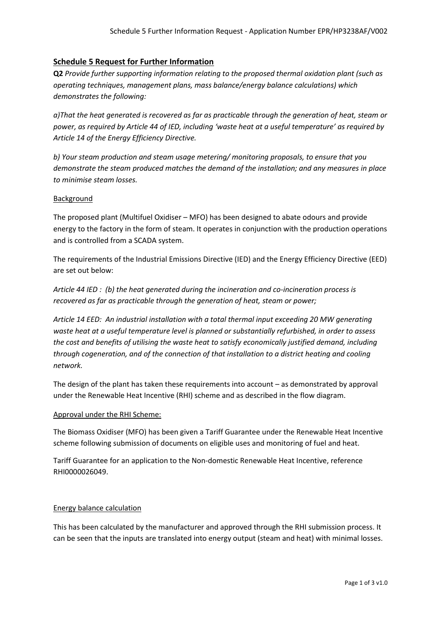# **Schedule 5 Request for Further Information**

**Q2** *Provide further supporting information relating to the proposed thermal oxidation plant (such as operating techniques, management plans, mass balance/energy balance calculations) which demonstrates the following:*

*a)That the heat generated is recovered as far as practicable through the generation of heat, steam or power, as required by Article 44 of IED, including 'waste heat at a useful temperature' as required by Article 14 of the Energy Efficiency Directive.*

*b) Your steam production and steam usage metering/ monitoring proposals, to ensure that you demonstrate the steam produced matches the demand of the installation; and any measures in place to minimise steam losses.*

## Background

The proposed plant (Multifuel Oxidiser – MFO) has been designed to abate odours and provide energy to the factory in the form of steam. It operates in conjunction with the production operations and is controlled from a SCADA system.

The requirements of the Industrial Emissions Directive (IED) and the Energy Efficiency Directive (EED) are set out below:

*Article 44 IED : (b) the heat generated during the incineration and co-incineration process is recovered as far as practicable through the generation of heat, steam or power;*

*Article 14 EED: An industrial installation with a total thermal input exceeding 20 MW generating waste heat at a useful temperature level is planned or substantially refurbished, in order to assess the cost and benefits of utilising the waste heat to satisfy economically justified demand, including through cogeneration, and of the connection of that installation to a district heating and cooling network.*

The design of the plant has taken these requirements into account – as demonstrated by approval under the Renewable Heat Incentive (RHI) scheme and as described in the flow diagram.

#### Approval under the RHI Scheme:

The Biomass Oxidiser (MFO) has been given a Tariff Guarantee under the Renewable Heat Incentive scheme following submission of documents on eligible uses and monitoring of fuel and heat.

Tariff Guarantee for an application to the Non-domestic Renewable Heat Incentive, reference RHI0000026049.

## Energy balance calculation

This has been calculated by the manufacturer and approved through the RHI submission process. It can be seen that the inputs are translated into energy output (steam and heat) with minimal losses.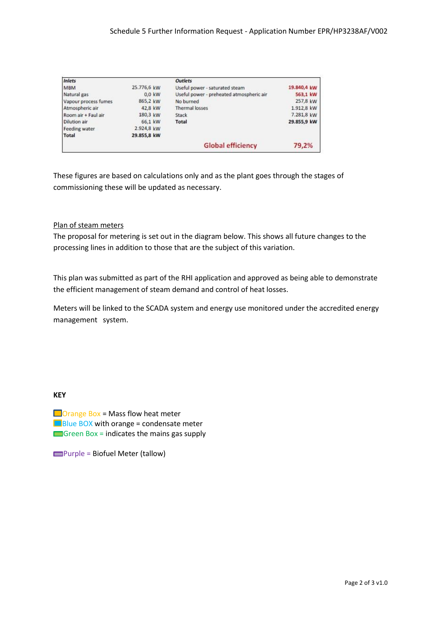| Inlets               |             | <b>Outlets</b>                           |             |
|----------------------|-------------|------------------------------------------|-------------|
| <b>MBM</b>           | 25.776,6 kW | Useful power - saturated steam           | 19.840,4 kW |
| Natural gas          | $0.0$ kW    | Useful power - preheated atmospheric air | 563.1 kW    |
| Vapour process fumes | 865,2 kW    | No burned                                | 257,8 kW    |
| Atmospheric air      | 42,8 kW     | <b>Thermal losses</b>                    | 1.912,8 kW  |
| Room air + Faul air  | 180,3 kW    | Stack                                    | 7.281,8 kW  |
| <b>Dilution air</b>  | 66.1 kW     | Total                                    | 29.855,9 kW |
| Feeding water        | 2.924,8 kW  |                                          |             |
| Total                | 29.855,8 kW |                                          |             |
|                      |             | <b>Global efficiency</b>                 | 79,2%       |

These figures are based on calculations only and as the plant goes through the stages of commissioning these will be updated as necessary.

## Plan of steam meters

The proposal for metering is set out in the diagram below. This shows all future changes to the processing lines in addition to those that are the subject of this variation.

This plan was submitted as part of the RHI application and approved as being able to demonstrate the efficient management of steam demand and control of heat losses.

Meters will be linked to the SCADA system and energy use monitored under the accredited energy management system.

## **KEY**

 $\Box$  Orange Box = Mass flow heat meter  $B()$ Blue BOX with orange = condensate meter Green Box = indicates the mains gas supply

 $\rule{1em}{0.15mm}$  Purple = Biofuel Meter (tallow)